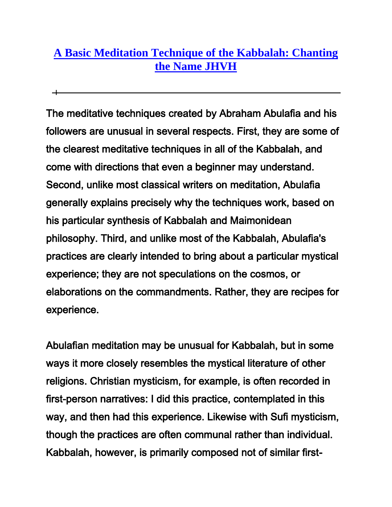## **[A Basic Meditation Technique of the Kabbalah: Chanting](http://www.learnkabbalah.com/basic_meditation_techniques/)  [the Name JHVH](http://www.learnkabbalah.com/basic_meditation_techniques/)**

The meditative techniques created by Abraham Abulafia and his followers are unusual in several respects. First, they are some of the clearest meditative techniques in all of the Kabbalah, and come with directions that even a beginner may understand. Second, unlike most classical writers on meditation, Abulafia generally explains precisely why the techniques work, based on his particular synthesis of Kabbalah and Maimonidean philosophy. Third, and unlike most of the Kabbalah, Abulafia's practices are clearly intended to bring about a particular mystical experience; they are not speculations on the cosmos, or elaborations on the commandments. Rather, they are recipes for experience.

Abulafian meditation may be unusual for Kabbalah, but in some ways it more closely resembles the mystical literature of other religions. Christian mysticism, for example, is often recorded in first-person narratives: I did this practice, contemplated in this way, and then had this experience. Likewise with Sufi mysticism, though the practices are often communal rather than individual. Kabbalah, however, is primarily composed not of similar first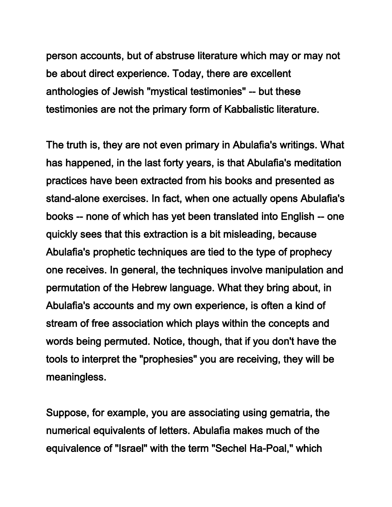person accounts, but of abstruse literature which may or may not be about direct experience. Today, there are excellent anthologies of Jewish "mystical testimonies" -- but these testimonies are not the primary form of Kabbalistic literature.

The truth is, they are not even primary in Abulafia's writings. What has happened, in the last forty years, is that Abulafia's meditation practices have been extracted from his books and presented as stand-alone exercises. In fact, when one actually opens Abulafia's books -- none of which has yet been translated into English -- one quickly sees that this extraction is a bit misleading, because Abulafia's prophetic techniques are tied to the type of prophecy one receives. In general, the techniques involve manipulation and permutation of the Hebrew language. What they bring about, in Abulafia's accounts and my own experience, is often a kind of stream of free association which plays within the concepts and words being permuted. Notice, though, that if you don't have the tools to interpret the "prophesies" you are receiving, they will be meaningless.

Suppose, for example, you are associating using gematria, the numerical equivalents of letters. Abulafia makes much of the equivalence of "Israel" with the term "Sechel Ha-Poal," which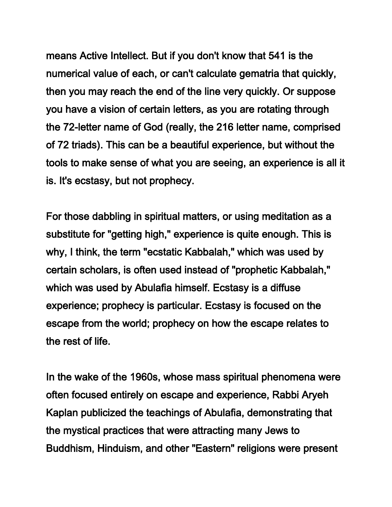means Active Intellect. But if you don't know that 541 is the numerical value of each, or can't calculate gematria that quickly, then you may reach the end of the line very quickly. Or suppose you have a vision of certain letters, as you are rotating through the 72-letter name of God (really, the 216 letter name, comprised of 72 triads). This can be a beautiful experience, but without the tools to make sense of what you are seeing, an experience is all it is. It's ecstasy, but not prophecy.

For those dabbling in spiritual matters, or using meditation as a substitute for "getting high," experience is quite enough. This is why, I think, the term "ecstatic Kabbalah," which was used by certain scholars, is often used instead of "prophetic Kabbalah," which was used by Abulafia himself. Ecstasy is a diffuse experience; prophecy is particular. Ecstasy is focused on the escape from the world; prophecy on how the escape relates to the rest of life.

In the wake of the 1960s, whose mass spiritual phenomena were often focused entirely on escape and experience, Rabbi Aryeh Kaplan publicized the teachings of Abulafia, demonstrating that the mystical practices that were attracting many Jews to Buddhism, Hinduism, and other "Eastern" religions were present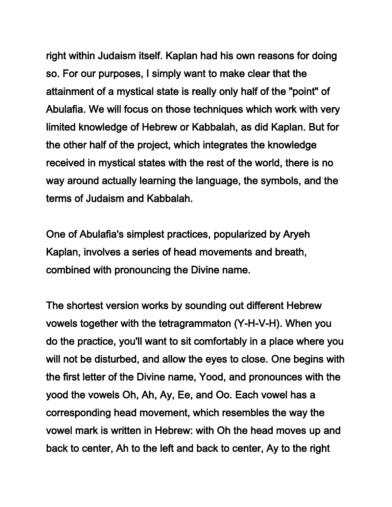right within Judaism itself. Kaplan had his own reasons for doing so. For our purposes, I simply want to make clear that the attainment of a mystical state is really only half of the "point" of Abulafia. We will focus on those techniques which work with very limited knowledge of Hebrew or Kabbalah, as did Kaplan. But for the other half of the project, which integrates the knowledge received in mystical states with the rest of the world, there is no way around actually learning the language, the symbols, and the terms of Judaism and Kabbalah.

One of Abulafia's simplest practices, popularized by Aryeh Kaplan, involves a series of head movements and breath, combined with pronouncing the Divine name.

The shortest version works by sounding out different Hebrew vowels together with the tetragrammaton (Y-H-V-H). When you do the practice, you'll want to sit comfortably in a place where you will not be disturbed, and allow the eyes to close. One begins with the first letter of the Divine name, Yood, and pronounces with the yood the vowels Oh, Ah, Ay, Ee, and Oo. Each vowel has a corresponding head movement, which resembles the way the vowel mark is written in Hebrew: with Oh the head moves up and back to center, Ah to the left and back to center, Ay to the right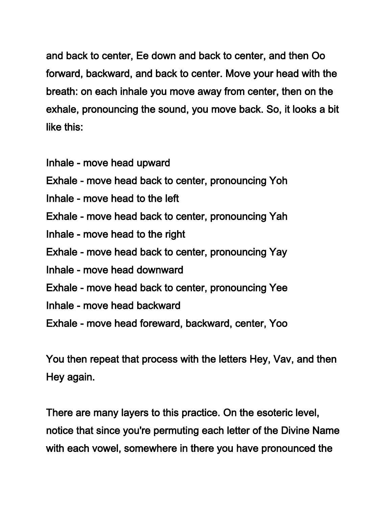and back to center, Ee down and back to center, and then Oo forward, backward, and back to center. Move your head with the breath: on each inhale you move away from center, then on the exhale, pronouncing the sound, you move back. So, it looks a bit like this:

- Inhale move head upward
- Exhale move head back to center, pronouncing Yoh
- Inhale move head to the left
- Exhale move head back to center, pronouncing Yah
- Inhale move head to the right
- Exhale move head back to center, pronouncing Yay
- Inhale move head downward
- Exhale move head back to center, pronouncing Yee
- Inhale move head backward
- Exhale move head foreward, backward, center, Yoo

You then repeat that process with the letters Hey, Vav, and then Hey again.

There are many layers to this practice. On the esoteric level, notice that since you're permuting each letter of the Divine Name with each vowel, somewhere in there you have pronounced the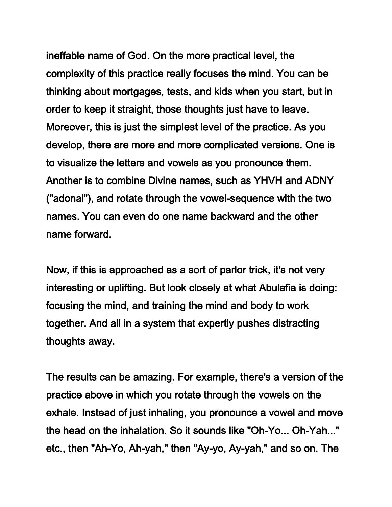ineffable name of God. On the more practical level, the complexity of this practice really focuses the mind. You can be thinking about mortgages, tests, and kids when you start, but in order to keep it straight, those thoughts just have to leave. Moreover, this is just the simplest level of the practice. As you develop, there are more and more complicated versions. One is to visualize the letters and vowels as you pronounce them. Another is to combine Divine names, such as YHVH and ADNY ("adonai"), and rotate through the vowel-sequence with the two names. You can even do one name backward and the other name forward.

Now, if this is approached as a sort of parlor trick, it's not very interesting or uplifting. But look closely at what Abulafia is doing: focusing the mind, and training the mind and body to work together. And all in a system that expertly pushes distracting thoughts away.

The results can be amazing. For example, there's a version of the practice above in which you rotate through the vowels on the exhale. Instead of just inhaling, you pronounce a vowel and move the head on the inhalation. So it sounds like "Oh-Yo... Oh-Yah..." etc., then "Ah-Yo, Ah-yah," then "Ay-yo, Ay-yah," and so on. The